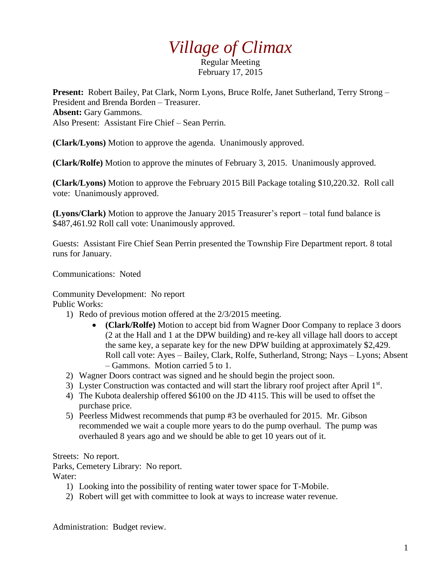## *Village of Climax*

Regular Meeting February 17, 2015

**Present:** Robert Bailey, Pat Clark, Norm Lyons, Bruce Rolfe, Janet Sutherland, Terry Strong – President and Brenda Borden – Treasurer. **Absent:** Gary Gammons. Also Present: Assistant Fire Chief – Sean Perrin.

**(Clark/Lyons)** Motion to approve the agenda. Unanimously approved.

**(Clark/Rolfe)** Motion to approve the minutes of February 3, 2015. Unanimously approved.

**(Clark/Lyons)** Motion to approve the February 2015 Bill Package totaling \$10,220.32. Roll call vote: Unanimously approved.

**(Lyons/Clark)** Motion to approve the January 2015 Treasurer's report – total fund balance is \$487,461.92 Roll call vote: Unanimously approved.

Guests: Assistant Fire Chief Sean Perrin presented the Township Fire Department report. 8 total runs for January.

Communications: Noted

Community Development: No report

Public Works:

- 1) Redo of previous motion offered at the 2/3/2015 meeting.
	- **(Clark/Rolfe)** Motion to accept bid from Wagner Door Company to replace 3 doors (2 at the Hall and 1 at the DPW building) and re-key all village hall doors to accept the same key, a separate key for the new DPW building at approximately \$2,429. Roll call vote: Ayes – Bailey, Clark, Rolfe, Sutherland, Strong; Nays – Lyons; Absent – Gammons. Motion carried 5 to 1.
- 2) Wagner Doors contract was signed and he should begin the project soon.
- 3) Lyster Construction was contacted and will start the library roof project after April 1st.
- 4) The Kubota dealership offered \$6100 on the JD 4115. This will be used to offset the purchase price.
- 5) Peerless Midwest recommends that pump #3 be overhauled for 2015. Mr. Gibson recommended we wait a couple more years to do the pump overhaul. The pump was overhauled 8 years ago and we should be able to get 10 years out of it.

Streets: No report.

Parks, Cemetery Library: No report. Water:

- 1) Looking into the possibility of renting water tower space for T-Mobile.
- 2) Robert will get with committee to look at ways to increase water revenue.

Administration: Budget review.